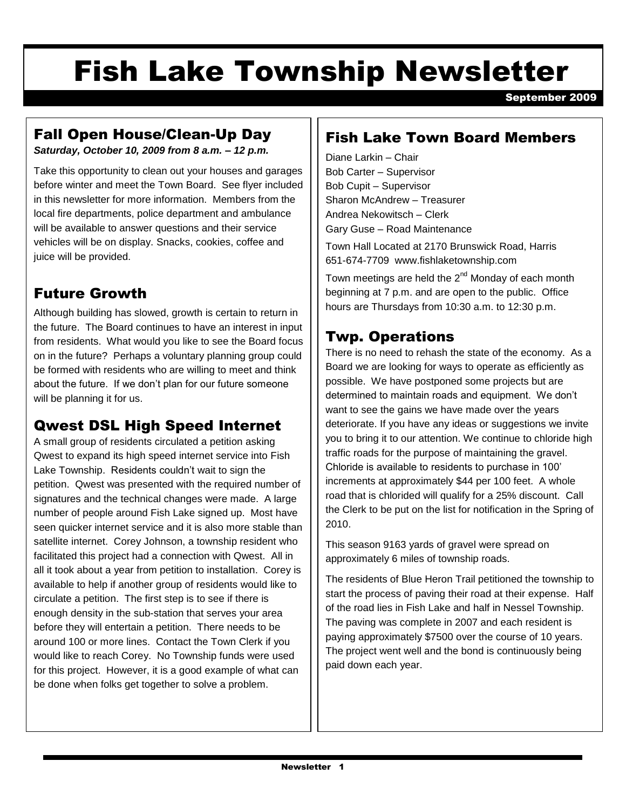# Fish Lake Township Newsletter

September 2009

# Fall Open House/Clean-Up Day

*Saturday, October 10, 2009 from 8 a.m. – 12 p.m.*

Take this opportunity to clean out your houses and garages before winter and meet the Town Board. See flyer included in this newsletter for more information. Members from the local fire departments, police department and ambulance will be available to answer questions and their service vehicles will be on display. Snacks, cookies, coffee and juice will be provided.

# Future Growth

Although building has slowed, growth is certain to return in the future. The Board continues to have an interest in input from residents. What would you like to see the Board focus on in the future? Perhaps a voluntary planning group could be formed with residents who are willing to meet and think about the future. If we don't plan for our future someone will be planning it for us.

# Qwest DSL High Speed Internet

A small group of residents circulated a petition asking Qwest to expand its high speed internet service into Fish Lake Township. Residents couldn't wait to sign the petition. Qwest was presented with the required number of signatures and the technical changes were made. A large number of people around Fish Lake signed up. Most have seen quicker internet service and it is also more stable than satellite internet. Corey Johnson, a township resident who facilitated this project had a connection with Qwest. All in all it took about a year from petition to installation. Corey is available to help if another group of residents would like to circulate a petition. The first step is to see if there is enough density in the sub-station that serves your area before they will entertain a petition. There needs to be around 100 or more lines. Contact the Town Clerk if you would like to reach Corey. No Township funds were used for this project. However, it is a good example of what can be done when folks get together to solve a problem.

## Fish Lake Town Board Members

Diane Larkin – Chair Bob Carter – Supervisor Bob Cupit – Supervisor Sharon McAndrew – Treasurer Andrea Nekowitsch – Clerk Gary Guse – Road Maintenance

Town Hall Located at 2170 Brunswick Road, Harris 651-674-7709 www.fishlaketownship.com

Town meetings are held the  $2<sup>nd</sup>$  Monday of each month beginning at 7 p.m. and are open to the public. Office hours are Thursdays from 10:30 a.m. to 12:30 p.m.

# Twp. Operations

There is no need to rehash the state of the economy. As a Board we are looking for ways to operate as efficiently as possible. We have postponed some projects but are determined to maintain roads and equipment. We don't want to see the gains we have made over the years deteriorate. If you have any ideas or suggestions we invite you to bring it to our attention. We continue to chloride high traffic roads for the purpose of maintaining the gravel. Chloride is available to residents to purchase in 100' increments at approximately \$44 per 100 feet. A whole road that is chlorided will qualify for a 25% discount. Call the Clerk to be put on the list for notification in the Spring of 2010.

This season 9163 yards of gravel were spread on approximately 6 miles of township roads.

The residents of Blue Heron Trail petitioned the township to start the process of paving their road at their expense. Half of the road lies in Fish Lake and half in Nessel Township. The paving was complete in 2007 and each resident is paying approximately \$7500 over the course of 10 years. The project went well and the bond is continuously being paid down each year.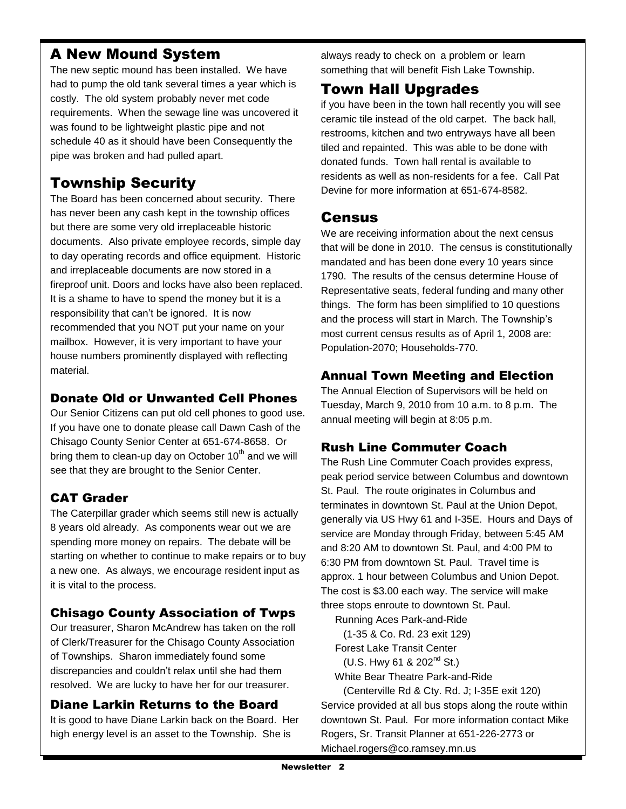## A New Mound System

The new septic mound has been installed. We have had to pump the old tank several times a year which is costly. The old system probably never met code requirements. When the sewage line was uncovered it was found to be lightweight plastic pipe and not schedule 40 as it should have been Consequently the pipe was broken and had pulled apart.

## Township Security

The Board has been concerned about security. There has never been any cash kept in the township offices but there are some very old irreplaceable historic documents. Also private employee records, simple day to day operating records and office equipment. Historic and irreplaceable documents are now stored in a fireproof unit. Doors and locks have also been replaced. It is a shame to have to spend the money but it is a responsibility that can't be ignored. It is now recommended that you NOT put your name on your mailbox. However, it is very important to have your house numbers prominently displayed with reflecting material.

#### Donate Old or Unwanted Cell Phones

Our Senior Citizens can put old cell phones to good use. If you have one to donate please call Dawn Cash of the Chisago County Senior Center at 651-674-8658. Or bring them to clean-up day on October  $10<sup>th</sup>$  and we will see that they are brought to the Senior Center.

## CAT Grader

The Caterpillar grader which seems still new is actually 8 years old already. As components wear out we are spending more money on repairs. The debate will be starting on whether to continue to make repairs or to buy a new one. As always, we encourage resident input as it is vital to the process.

### Chisago County Association of Twps

Our treasurer, Sharon McAndrew has taken on the roll of Clerk/Treasurer for the Chisago County Association of Townships. Sharon immediately found some discrepancies and couldn't relax until she had them resolved. We are lucky to have her for our treasurer.

#### Diane Larkin Returns to the Board

It is good to have Diane Larkin back on the Board. Her high energy level is an asset to the Township. She is

always ready to check on a problem or learn something that will benefit Fish Lake Township.

## Town Hall Upgrades

if you have been in the town hall recently you will see ceramic tile instead of the old carpet. The back hall, restrooms, kitchen and two entryways have all been tiled and repainted. This was able to be done with donated funds. Town hall rental is available to residents as well as non-residents for a fee. Call Pat Devine for more information at 651-674-8582.

## Census

We are receiving information about the next census that will be done in 2010. The census is constitutionally mandated and has been done every 10 years since 1790. The results of the census determine House of Representative seats, federal funding and many other things. The form has been simplified to 10 questions and the process will start in March. The Township's most current census results as of April 1, 2008 are: Population-2070; Households-770.

#### Annual Town Meeting and Election

The Annual Election of Supervisors will be held on Tuesday, March 9, 2010 from 10 a.m. to 8 p.m. The annual meeting will begin at 8:05 p.m.

## Rush Line Commuter Coach

The Rush Line Commuter Coach provides express, peak period service between Columbus and downtown St. Paul. The route originates in Columbus and terminates in downtown St. Paul at the Union Depot, generally via US Hwy 61 and I-35E. Hours and Days of service are Monday through Friday, between 5:45 AM and 8:20 AM to downtown St. Paul, and 4:00 PM to 6:30 PM from downtown St. Paul. Travel time is approx. 1 hour between Columbus and Union Depot. The cost is \$3.00 each way. The service will make three stops enroute to downtown St. Paul.

Running Aces Park-and-Ride

(1-35 & Co. Rd. 23 exit 129)

Forest Lake Transit Center

(U.S. Hwy 61 & 202<sup>nd</sup> St.)

White Bear Theatre Park-and-Ride

 (Centerville Rd & Cty. Rd. J; I-35E exit 120) Service provided at all bus stops along the route within downtown St. Paul. For more information contact Mike Rogers, Sr. Transit Planner at 651-226-2773 or Michael.rogers@co.ramsey.mn.us